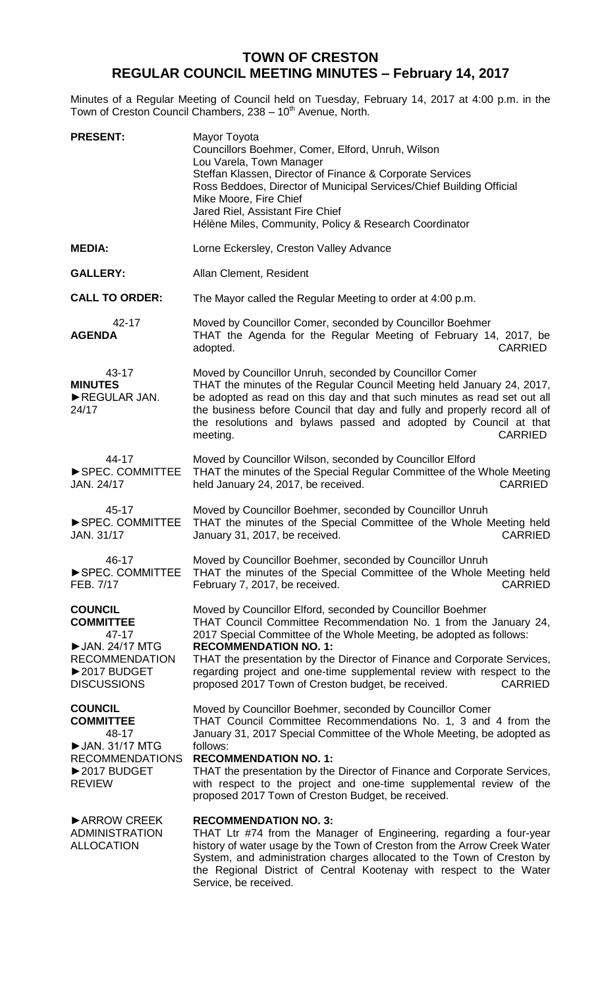## **TOWN OF CRESTON REGULAR COUNCIL MEETING MINUTES – February 14, 2017**

Minutes of a Regular Meeting of Council held on Tuesday, February 14, 2017 at 4:00 p.m. in the Town of Creston Council Chambers, 238 - 10<sup>th</sup> Avenue, North.

| <b>PRESENT:</b>                                                                                                                    | Mayor Toyota<br>Councillors Boehmer, Comer, Elford, Unruh, Wilson<br>Lou Varela, Town Manager<br>Steffan Klassen, Director of Finance & Corporate Services<br>Ross Beddoes, Director of Municipal Services/Chief Building Official<br>Mike Moore, Fire Chief<br>Jared Riel, Assistant Fire Chief<br>Hélène Miles, Community, Policy & Research Coordinator                                                                                                          |
|------------------------------------------------------------------------------------------------------------------------------------|---------------------------------------------------------------------------------------------------------------------------------------------------------------------------------------------------------------------------------------------------------------------------------------------------------------------------------------------------------------------------------------------------------------------------------------------------------------------|
| <b>MEDIA:</b>                                                                                                                      | Lorne Eckersley, Creston Valley Advance                                                                                                                                                                                                                                                                                                                                                                                                                             |
| <b>GALLERY:</b>                                                                                                                    | Allan Clement, Resident                                                                                                                                                                                                                                                                                                                                                                                                                                             |
| <b>CALL TO ORDER:</b>                                                                                                              | The Mayor called the Regular Meeting to order at 4:00 p.m.                                                                                                                                                                                                                                                                                                                                                                                                          |
| 42-17<br><b>AGENDA</b>                                                                                                             | Moved by Councillor Comer, seconded by Councillor Boehmer<br>THAT the Agenda for the Regular Meeting of February 14, 2017, be<br>adopted.<br><b>CARRIED</b>                                                                                                                                                                                                                                                                                                         |
| 43-17<br><b>MINUTES</b><br>REGULAR JAN.<br>24/17                                                                                   | Moved by Councillor Unruh, seconded by Councillor Comer<br>THAT the minutes of the Regular Council Meeting held January 24, 2017,<br>be adopted as read on this day and that such minutes as read set out all<br>the business before Council that day and fully and properly record all of<br>the resolutions and bylaws passed and adopted by Council at that<br><b>CARRIED</b><br>meeting.                                                                        |
| 44-17<br>SPEC. COMMITTEE<br>JAN. 24/17                                                                                             | Moved by Councillor Wilson, seconded by Councillor Elford<br>THAT the minutes of the Special Regular Committee of the Whole Meeting<br>held January 24, 2017, be received.<br><b>CARRIED</b>                                                                                                                                                                                                                                                                        |
| 45-17<br>SPEC. COMMITTEE<br>JAN. 31/17                                                                                             | Moved by Councillor Boehmer, seconded by Councillor Unruh<br>THAT the minutes of the Special Committee of the Whole Meeting held<br><b>CARRIED</b><br>January 31, 2017, be received.                                                                                                                                                                                                                                                                                |
| 46-17<br>SPEC. COMMITTEE<br>FEB. 7/17                                                                                              | Moved by Councillor Boehmer, seconded by Councillor Unruh<br>THAT the minutes of the Special Committee of the Whole Meeting held<br>February 7, 2017, be received.<br><b>CARRIED</b>                                                                                                                                                                                                                                                                                |
| <b>COUNCIL</b><br><b>COMMITTEE</b><br>$47 - 17$<br>▶ JAN. 24/17 MTG<br><b>RECOMMENDATION</b><br>▶2017 BUDGET<br><b>DISCUSSIONS</b> | Moved by Councillor Elford, seconded by Councillor Boehmer<br>THAT Council Committee Recommendation No. 1 from the January 24,<br>2017 Special Committee of the Whole Meeting, be adopted as follows:<br><b>RECOMMENDATION NO. 1:</b><br>THAT the presentation by the Director of Finance and Corporate Services,<br>regarding project and one-time supplemental review with respect to the<br>proposed 2017 Town of Creston budget, be received.<br><b>CARRIED</b> |
| <b>COUNCIL</b><br><b>COMMITTEE</b><br>48-17<br>▶ JAN. 31/17 MTG<br><b>RECOMMENDATIONS</b><br>▶2017 BUDGET<br><b>REVIEW</b>         | Moved by Councillor Boehmer, seconded by Councillor Comer<br>THAT Council Committee Recommendations No. 1, 3 and 4 from the<br>January 31, 2017 Special Committee of the Whole Meeting, be adopted as<br>follows:<br><b>RECOMMENDATION NO. 1:</b><br>THAT the presentation by the Director of Finance and Corporate Services,<br>with respect to the project and one-time supplemental review of the<br>proposed 2017 Town of Creston Budget, be received.          |
| ARROW CREEK<br><b>ADMINISTRATION</b><br><b>ALLOCATION</b>                                                                          | <b>RECOMMENDATION NO. 3:</b><br>THAT Ltr #74 from the Manager of Engineering, regarding a four-year<br>history of water usage by the Town of Creston from the Arrow Creek Water<br>System, and administration charges allocated to the Town of Creston by<br>the Regional District of Central Kootenay with respect to the Water<br>Service, be received.                                                                                                           |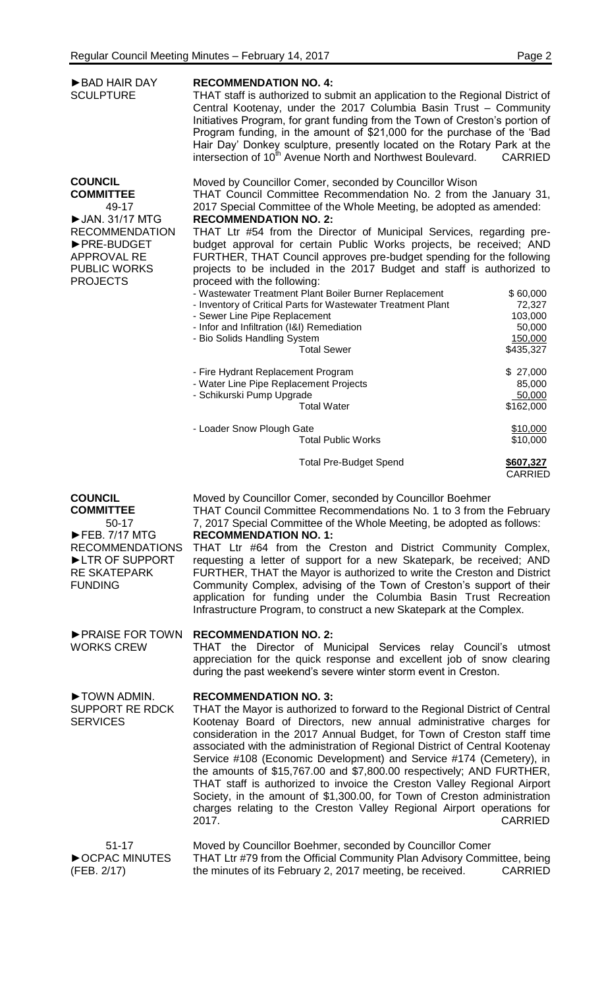| BAD HAIR DAY<br><b>SCULPTURE</b>                                                                                                                                         | <b>RECOMMENDATION NO. 4:</b><br>THAT staff is authorized to submit an application to the Regional District of<br>Central Kootenay, under the 2017 Columbia Basin Trust - Community<br>Initiatives Program, for grant funding from the Town of Creston's portion of<br>Program funding, in the amount of \$21,000 for the purchase of the 'Bad<br>Hair Day' Donkey sculpture, presently located on the Rotary Park at the<br>intersection of 10 <sup>th</sup> Avenue North and Northwest Boulevard.<br><b>CARRIED</b>                                                                                                                                                                                                                                                                                                                                                                                                                                                                                                                                                                                                         |
|--------------------------------------------------------------------------------------------------------------------------------------------------------------------------|------------------------------------------------------------------------------------------------------------------------------------------------------------------------------------------------------------------------------------------------------------------------------------------------------------------------------------------------------------------------------------------------------------------------------------------------------------------------------------------------------------------------------------------------------------------------------------------------------------------------------------------------------------------------------------------------------------------------------------------------------------------------------------------------------------------------------------------------------------------------------------------------------------------------------------------------------------------------------------------------------------------------------------------------------------------------------------------------------------------------------|
| <b>COUNCIL</b><br><b>COMMITTEE</b><br>49-17<br>▶ JAN. 31/17 MTG<br><b>RECOMMENDATION</b><br>▶ PRE-BUDGET<br><b>APPROVAL RE</b><br><b>PUBLIC WORKS</b><br><b>PROJECTS</b> | Moved by Councillor Comer, seconded by Councillor Wison<br>THAT Council Committee Recommendation No. 2 from the January 31,<br>2017 Special Committee of the Whole Meeting, be adopted as amended:<br><b>RECOMMENDATION NO. 2:</b><br>THAT Ltr #54 from the Director of Municipal Services, regarding pre-<br>budget approval for certain Public Works projects, be received; AND<br>FURTHER, THAT Council approves pre-budget spending for the following<br>projects to be included in the 2017 Budget and staff is authorized to<br>proceed with the following:<br>- Wastewater Treatment Plant Boiler Burner Replacement<br>\$60,000<br>- Inventory of Critical Parts for Wastewater Treatment Plant<br>72,327<br>- Sewer Line Pipe Replacement<br>103,000<br>- Infor and Infiltration (I&I) Remediation<br>50,000<br>- Bio Solids Handling System<br>150,000<br>\$435,327<br><b>Total Sewer</b><br>- Fire Hydrant Replacement Program<br>\$27,000<br>- Water Line Pipe Replacement Projects<br>85,000<br>- Schikurski Pump Upgrade<br>50,000<br>\$162,000<br><b>Total Water</b><br>- Loader Snow Plough Gate<br>\$10,000 |
|                                                                                                                                                                          | <b>Total Public Works</b><br>\$10,000<br><b>Total Pre-Budget Spend</b><br>\$607,327<br><b>CARRIED</b>                                                                                                                                                                                                                                                                                                                                                                                                                                                                                                                                                                                                                                                                                                                                                                                                                                                                                                                                                                                                                        |
| <b>COUNCIL</b><br><b>COMMITTEE</b><br>$50-17$<br>FEB. 7/17 MTG<br><b>RECOMMENDATIONS</b><br>LIR OF SUPPORT<br><b>RE SKATEPARK</b><br><b>FUNDING</b>                      | Moved by Councillor Comer, seconded by Councillor Boehmer<br>THAT Council Committee Recommendations No. 1 to 3 from the February<br>7, 2017 Special Committee of the Whole Meeting, be adopted as follows:<br><b>RECOMMENDATION NO. 1:</b><br>THAT Ltr #64 from the Creston and District Community Complex,<br>requesting a letter of support for a new Skatepark, be received; AND<br>FURTHER, THAT the Mayor is authorized to write the Creston and District<br>Community Complex, advising of the Town of Creston's support of their<br>application for funding under the Columbia Basin Trust Recreation<br>Infrastructure Program, to construct a new Skatepark at the Complex.                                                                                                                                                                                                                                                                                                                                                                                                                                         |
| ▶ PRAISE FOR TOWN<br><b>WORKS CREW</b>                                                                                                                                   | <b>RECOMMENDATION NO. 2:</b><br>THAT the Director of Municipal Services relay Council's utmost<br>appreciation for the quick response and excellent job of snow clearing<br>during the past weekend's severe winter storm event in Creston.                                                                                                                                                                                                                                                                                                                                                                                                                                                                                                                                                                                                                                                                                                                                                                                                                                                                                  |
| TOWN ADMIN.<br>SUPPORT RE RDCK<br><b>SERVICES</b>                                                                                                                        | <b>RECOMMENDATION NO. 3:</b><br>THAT the Mayor is authorized to forward to the Regional District of Central<br>Kootenay Board of Directors, new annual administrative charges for<br>consideration in the 2017 Annual Budget, for Town of Creston staff time<br>associated with the administration of Regional District of Central Kootenay<br>Service #108 (Economic Development) and Service #174 (Cemetery), in<br>the amounts of \$15,767.00 and \$7,800.00 respectively; AND FURTHER,<br>THAT staff is authorized to invoice the Creston Valley Regional Airport<br>Society, in the amount of \$1,300.00, for Town of Creston administration<br>charges relating to the Creston Valley Regional Airport operations for<br>2017.<br><b>CARRIED</b>                                                                                                                                                                                                                                                                                                                                                                       |
| $51 - 17$<br>OCPAC MINUTES<br>(FEB. 2/17)                                                                                                                                | Moved by Councillor Boehmer, seconded by Councillor Comer<br>THAT Ltr #79 from the Official Community Plan Advisory Committee, being<br>the minutes of its February 2, 2017 meeting, be received.<br><b>CARRIED</b>                                                                                                                                                                                                                                                                                                                                                                                                                                                                                                                                                                                                                                                                                                                                                                                                                                                                                                          |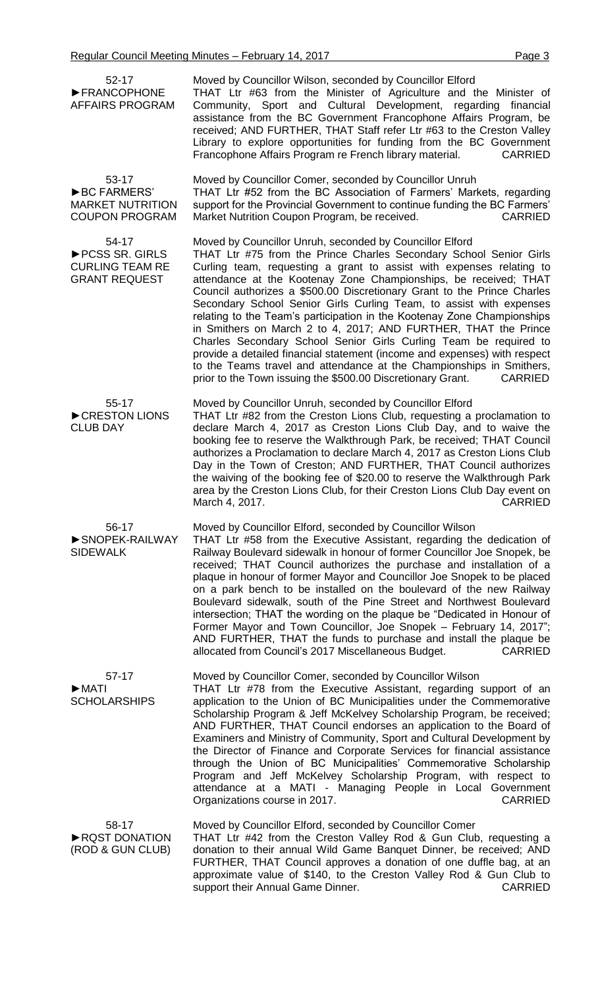| Regular Council Meeting Minutes - February 14, 2017<br>Page 3                   |                                                                                                                                                                                                                                                                                                                                                                                                                                                                                                                                                                                                                                                                                                                                                                                                                                                                                       |  |
|---------------------------------------------------------------------------------|---------------------------------------------------------------------------------------------------------------------------------------------------------------------------------------------------------------------------------------------------------------------------------------------------------------------------------------------------------------------------------------------------------------------------------------------------------------------------------------------------------------------------------------------------------------------------------------------------------------------------------------------------------------------------------------------------------------------------------------------------------------------------------------------------------------------------------------------------------------------------------------|--|
| $52 - 17$<br>FRANCOPHONE<br><b>AFFAIRS PROGRAM</b>                              | Moved by Councillor Wilson, seconded by Councillor Elford<br>THAT Ltr #63 from the Minister of Agriculture and the Minister of<br>Community, Sport and Cultural Development, regarding financial<br>assistance from the BC Government Francophone Affairs Program, be<br>received; AND FURTHER, THAT Staff refer Ltr #63 to the Creston Valley<br>Library to explore opportunities for funding from the BC Government<br>Francophone Affairs Program re French library material.<br><b>CARRIED</b>                                                                                                                                                                                                                                                                                                                                                                                    |  |
| 53-17<br><b>BC FARMERS'</b><br><b>MARKET NUTRITION</b><br><b>COUPON PROGRAM</b> | Moved by Councillor Comer, seconded by Councillor Unruh<br>THAT Ltr #52 from the BC Association of Farmers' Markets, regarding<br>support for the Provincial Government to continue funding the BC Farmers'<br>Market Nutrition Coupon Program, be received.<br><b>CARRIED</b>                                                                                                                                                                                                                                                                                                                                                                                                                                                                                                                                                                                                        |  |
| 54-17<br>PCSS SR. GIRLS<br><b>CURLING TEAM RE</b><br><b>GRANT REQUEST</b>       | Moved by Councillor Unruh, seconded by Councillor Elford<br>THAT Ltr #75 from the Prince Charles Secondary School Senior Girls<br>Curling team, requesting a grant to assist with expenses relating to<br>attendance at the Kootenay Zone Championships, be received; THAT<br>Council authorizes a \$500.00 Discretionary Grant to the Prince Charles<br>Secondary School Senior Girls Curling Team, to assist with expenses<br>relating to the Team's participation in the Kootenay Zone Championships<br>in Smithers on March 2 to 4, 2017; AND FURTHER, THAT the Prince<br>Charles Secondary School Senior Girls Curling Team be required to<br>provide a detailed financial statement (income and expenses) with respect<br>to the Teams travel and attendance at the Championships in Smithers,<br>prior to the Town issuing the \$500.00 Discretionary Grant.<br><b>CARRIED</b> |  |
| 55-17<br>CRESTON LIONS<br><b>CLUB DAY</b>                                       | Moved by Councillor Unruh, seconded by Councillor Elford<br>THAT Ltr #82 from the Creston Lions Club, requesting a proclamation to<br>declare March 4, 2017 as Creston Lions Club Day, and to waive the<br>booking fee to reserve the Walkthrough Park, be received; THAT Council<br>authorizes a Proclamation to declare March 4, 2017 as Creston Lions Club<br>Day in the Town of Creston; AND FURTHER, THAT Council authorizes<br>the waiving of the booking fee of \$20.00 to reserve the Walkthrough Park<br>area by the Creston Lions Club, for their Creston Lions Club Day event on<br><b>CARRIED</b><br>March 4, 2017.                                                                                                                                                                                                                                                       |  |
| 56-17<br>SNOPEK-RAILWAY<br><b>SIDEWALK</b>                                      | Moved by Councillor Elford, seconded by Councillor Wilson<br>THAT Ltr #58 from the Executive Assistant, regarding the dedication of<br>Railway Boulevard sidewalk in honour of former Councillor Joe Snopek, be<br>received; THAT Council authorizes the purchase and installation of a<br>plaque in honour of former Mayor and Councillor Joe Snopek to be placed<br>on a park bench to be installed on the boulevard of the new Railway<br>Boulevard sidewalk, south of the Pine Street and Northwest Boulevard<br>intersection; THAT the wording on the plaque be "Dedicated in Honour of<br>Former Mayor and Town Councillor, Joe Snopek - February 14, 2017";<br>AND FURTHER, THAT the funds to purchase and install the plaque be<br>allocated from Council's 2017 Miscellaneous Budget.<br><b>CARRIED</b>                                                                      |  |
| 57-17<br>$\blacktriangleright$ MATI<br><b>SCHOLARSHIPS</b>                      | Moved by Councillor Comer, seconded by Councillor Wilson<br>THAT Ltr #78 from the Executive Assistant, regarding support of an<br>application to the Union of BC Municipalities under the Commemorative<br>Scholarship Program & Jeff McKelvey Scholarship Program, be received;<br>AND FURTHER, THAT Council endorses an application to the Board of<br>Examiners and Ministry of Community, Sport and Cultural Development by<br>the Director of Finance and Corporate Services for financial assistance<br>through the Union of BC Municipalities' Commemorative Scholarship<br>Program and Jeff McKelvey Scholarship Program, with respect to<br>attendance at a MATI - Managing People in Local Government<br><b>CARRIED</b><br>Organizations course in 2017.                                                                                                                    |  |
| 58-17<br>RQST DONATION<br>(ROD & GUN CLUB)                                      | Moved by Councillor Elford, seconded by Councillor Comer<br>THAT Ltr #42 from the Creston Valley Rod & Gun Club, requesting a<br>donation to their annual Wild Game Banquet Dinner, be received; AND<br>FURTHER, THAT Council approves a donation of one duffle bag, at an<br>approximate value of \$140, to the Creston Valley Rod & Gun Club to<br><b>CARRIED</b><br>support their Annual Game Dinner.                                                                                                                                                                                                                                                                                                                                                                                                                                                                              |  |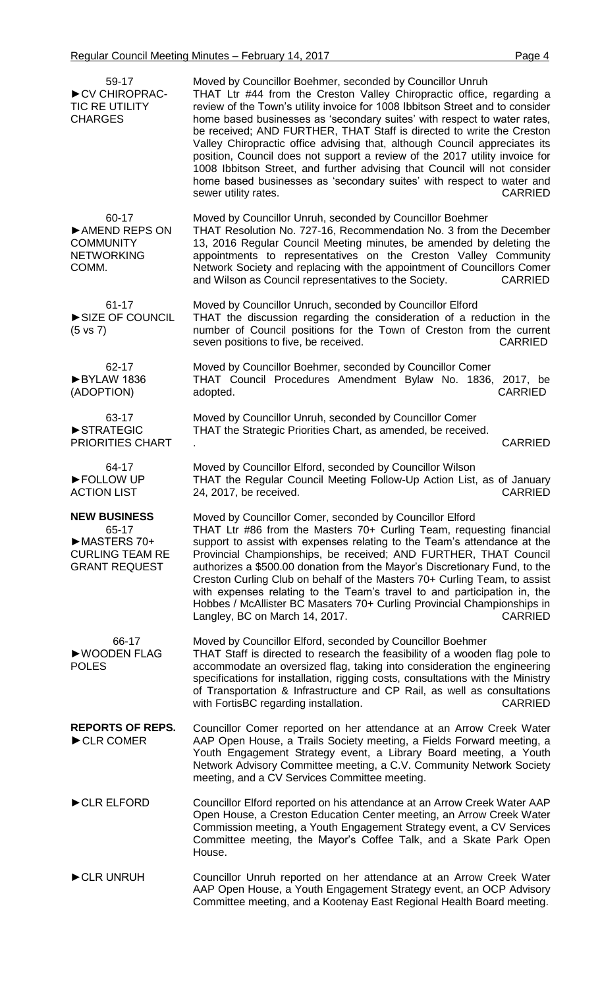| 59-17<br>CV CHIROPRAC-<br><b>TIC RE UTILITY</b><br><b>CHARGES</b>                             | Moved by Councillor Boehmer, seconded by Councillor Unruh<br>THAT Ltr #44 from the Creston Valley Chiropractic office, regarding a<br>review of the Town's utility invoice for 1008 Ibbitson Street and to consider<br>home based businesses as 'secondary suites' with respect to water rates,<br>be received; AND FURTHER, THAT Staff is directed to write the Creston<br>Valley Chiropractic office advising that, although Council appreciates its<br>position, Council does not support a review of the 2017 utility invoice for<br>1008 Ibbitson Street, and further advising that Council will not consider<br>home based businesses as 'secondary suites' with respect to water and<br>sewer utility rates.<br><b>CARRIED</b> |
|-----------------------------------------------------------------------------------------------|---------------------------------------------------------------------------------------------------------------------------------------------------------------------------------------------------------------------------------------------------------------------------------------------------------------------------------------------------------------------------------------------------------------------------------------------------------------------------------------------------------------------------------------------------------------------------------------------------------------------------------------------------------------------------------------------------------------------------------------|
| 60-17<br>AMEND REPS ON<br><b>COMMUNITY</b><br><b>NETWORKING</b><br>COMM.                      | Moved by Councillor Unruh, seconded by Councillor Boehmer<br>THAT Resolution No. 727-16, Recommendation No. 3 from the December<br>13, 2016 Regular Council Meeting minutes, be amended by deleting the<br>appointments to representatives on the Creston Valley Community<br>Network Society and replacing with the appointment of Councillors Comer<br>and Wilson as Council representatives to the Society.<br><b>CARRIED</b>                                                                                                                                                                                                                                                                                                      |
| $61 - 17$<br>SIZE OF COUNCIL<br>$(5 \text{ vs } 7)$                                           | Moved by Councillor Unruch, seconded by Councillor Elford<br>THAT the discussion regarding the consideration of a reduction in the<br>number of Council positions for the Town of Creston from the current<br>seven positions to five, be received.<br><b>CARRIED</b>                                                                                                                                                                                                                                                                                                                                                                                                                                                                 |
| 62-17<br>BYLAW 1836<br>(ADOPTION)                                                             | Moved by Councillor Boehmer, seconded by Councillor Comer<br>THAT Council Procedures Amendment Bylaw No. 1836, 2017, be<br><b>CARRIED</b><br>adopted.                                                                                                                                                                                                                                                                                                                                                                                                                                                                                                                                                                                 |
| 63-17<br>STRATEGIC<br>PRIORITIES CHART                                                        | Moved by Councillor Unruh, seconded by Councillor Comer<br>THAT the Strategic Priorities Chart, as amended, be received.<br><b>CARRIED</b>                                                                                                                                                                                                                                                                                                                                                                                                                                                                                                                                                                                            |
| 64-17<br>FOLLOW UP<br><b>ACTION LIST</b>                                                      | Moved by Councillor Elford, seconded by Councillor Wilson<br>THAT the Regular Council Meeting Follow-Up Action List, as of January<br>24, 2017, be received.<br><b>CARRIED</b>                                                                                                                                                                                                                                                                                                                                                                                                                                                                                                                                                        |
| <b>NEW BUSINESS</b><br>65-17<br>MASTERS 70+<br><b>CURLING TEAM RE</b><br><b>GRANT REQUEST</b> | Moved by Councillor Comer, seconded by Councillor Elford<br>THAT Ltr #86 from the Masters 70+ Curling Team, requesting financial<br>support to assist with expenses relating to the Team's attendance at the<br>Provincial Championships, be received; AND FURTHER, THAT Council<br>authorizes a \$500.00 donation from the Mayor's Discretionary Fund, to the<br>Creston Curling Club on behalf of the Masters 70+ Curling Team, to assist<br>with expenses relating to the Team's travel to and participation in, the<br>Hobbes / McAllister BC Masaters 70+ Curling Provincial Championships in<br>Langley, BC on March 14, 2017.<br><b>CARRIED</b>                                                                                |
| 66-17<br>▶WOODEN FLAG<br><b>POLES</b>                                                         | Moved by Councillor Elford, seconded by Councillor Boehmer<br>THAT Staff is directed to research the feasibility of a wooden flag pole to<br>accommodate an oversized flag, taking into consideration the engineering<br>specifications for installation, rigging costs, consultations with the Ministry<br>of Transportation & Infrastructure and CP Rail, as well as consultations<br><b>CARRIED</b><br>with FortisBC regarding installation.                                                                                                                                                                                                                                                                                       |
| <b>REPORTS OF REPS.</b><br>CLR COMER                                                          | Councillor Comer reported on her attendance at an Arrow Creek Water<br>AAP Open House, a Trails Society meeting, a Fields Forward meeting, a<br>Youth Engagement Strategy event, a Library Board meeting, a Youth<br>Network Advisory Committee meeting, a C.V. Community Network Society<br>meeting, and a CV Services Committee meeting.                                                                                                                                                                                                                                                                                                                                                                                            |
| CLR ELFORD                                                                                    | Councillor Elford reported on his attendance at an Arrow Creek Water AAP<br>Open House, a Creston Education Center meeting, an Arrow Creek Water<br>Commission meeting, a Youth Engagement Strategy event, a CV Services<br>Committee meeting, the Mayor's Coffee Talk, and a Skate Park Open<br>House.                                                                                                                                                                                                                                                                                                                                                                                                                               |
| CLR UNRUH                                                                                     | Councillor Unruh reported on her attendance at an Arrow Creek Water<br>AAP Open House, a Youth Engagement Strategy event, an OCP Advisory<br>Committee meeting, and a Kootenay East Regional Health Board meeting.                                                                                                                                                                                                                                                                                                                                                                                                                                                                                                                    |